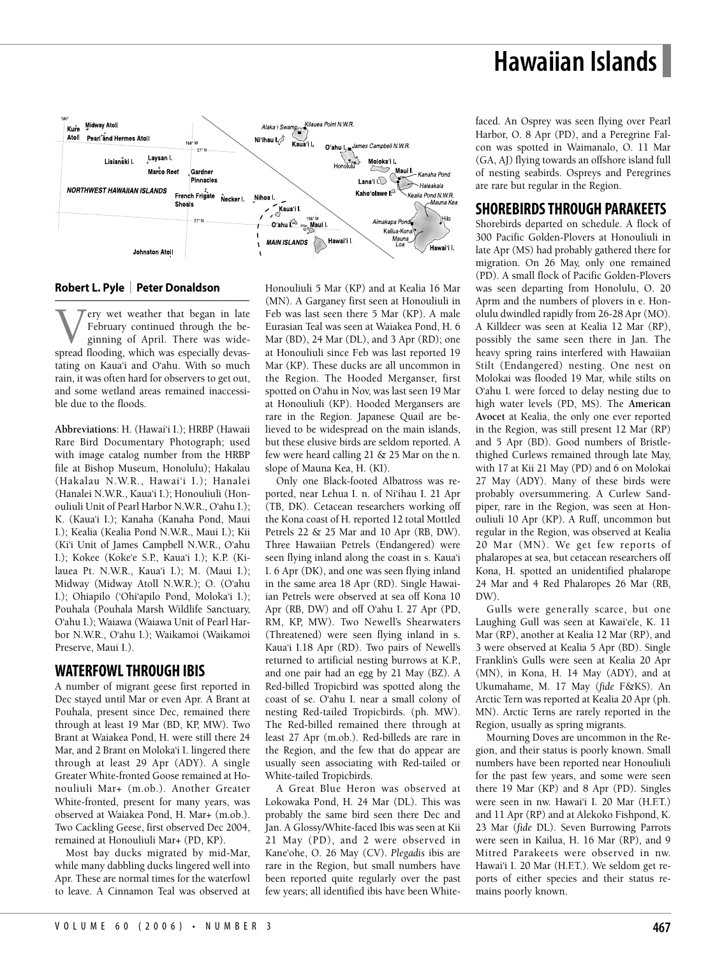# **Hawaiian Islands**



#### **Robert L. Pyle** | **Peter Donaldson**

–––––––––––––––––––––––––––––––––––––– **V** February continued through the beginning of April. There was widespread flooding, which was especially devas-February continued through the beginning of April. There was widetating on Kaua'i and O'ahu. With so much rain, it was often hard for observers to get out, and some wetland areas remained inaccessible due to the floods.

**Abbreviations**: H. (Hawai'i I.); HRBP (Hawaii Rare Bird Documentary Photograph; used with image catalog number from the HRBP file at Bishop Museum, Honolulu); Hakalau (Hakalau N.W.R., Hawai'i I.); Hanalei (Hanalei N.W.R., Kaua'i I.); Honouliuli (Honouliuli Unit of Pearl Harbor N.W.R., O'ahu I.); K. (Kaua'i I.); Kanaha (Kanaha Pond, Maui I.); Kealia (Kealia Pond N.W.R., Maui I.); Kii (Ki'i Unit of James Campbell N.W.R., O'ahu I.); Kokee (Koke'e S.P., Kaua'i I.); K.P. (Kilauea Pt. N.W.R., Kaua'i I.); M. (Maui I.); Midway (Midway Atoll N.W.R.); O. (O'ahu I.); Ohiapilo ('Ohi'apilo Pond, Moloka'i I.); Pouhala (Pouhala Marsh Wildlife Sanctuary, O'ahu I.); Waiawa (Waiawa Unit of Pearl Harbor N.W.R., O'ahu I.); Waikamoi (Waikamoi Preserve, Maui I.).

### **WATERFOWLTHROUGH IBIS**

A number of migrant geese first reported in Dec stayed until Mar or even Apr. A Brant at Pouhala, present since Dec, remained there through at least 19 Mar (BD, KP, MW). Two Brant at Waiakea Pond, H. were still there 24 Mar, and 2 Brant on Moloka'i I. lingered there through at least 29 Apr (ADY). A single Greater White-fronted Goose remained at Honouliuli Mar+ (m.ob.). Another Greater White-fronted, present for many years, was observed at Waiakea Pond, H. Mar+ (m.ob.). Two Cackling Geese, first observed Dec 2004, remained at Honouliuli Mar+ (PD, KP).

Most bay ducks migrated by mid-Mar, while many dabbling ducks lingered well into Apr. These are normal times for the waterfowl to leave. A Cinnamon Teal was observed at Honouliuli 5 Mar (KP) and at Kealia 16 Mar (MN). A Garganey first seen at Honouliuli in Feb was last seen there 5 Mar (KP). A male Eurasian Teal was seen at Waiakea Pond, H. 6 Mar (BD), 24 Mar (DL), and 3 Apr (RD); one at Honouliuli since Feb was last reported 19 Mar (KP). These ducks are all uncommon in the Region. The Hooded Merganser, first spotted on O'ahu in Nov, was last seen 19 Mar at Honouliuli (KP). Hooded Mergansers are rare in the Region. Japanese Quail are believed to be widespread on the main islands, but these elusive birds are seldom reported. A few were heard calling 21 & 25 Mar on the n. slope of Mauna Kea, H. (KI).

Only one Black-footed Albatross was reported, near Lehua I. n. of Ni'ihau I. 21 Apr (TB, DK). Cetacean researchers working off the Kona coast of H. reported 12 total Mottled Petrels 22 & 25 Mar and 10 Apr (RB, DW). Three Hawaiian Petrels (Endangered) were seen flying inland along the coast in s. Kaua'i I. 6 Apr (DK), and one was seen flying inland in the same area 18 Apr (RD). Single Hawaiian Petrels were observed at sea off Kona 10 Apr (RB, DW) and off O'ahu I. 27 Apr (PD, RM, KP, MW). Two Newell's Shearwaters (Threatened) were seen flying inland in s. Kaua'i I.18 Apr (RD). Two pairs of Newell's returned to artificial nesting burrows at K.P., and one pair had an egg by 21 May (BZ). A Red-billed Tropicbird was spotted along the coast of se. O'ahu I. near a small colony of nesting Red-tailed Tropicbirds. (ph. MW). The Red-billed remained there through at least 27 Apr (m.ob.). Red-billeds are rare in the Region, and the few that do appear are usually seen associating with Red-tailed or White-tailed Tropicbirds.

A Great Blue Heron was observed at Lokowaka Pond, H. 24 Mar (DL). This was probably the same bird seen there Dec and Jan. A Glossy/White-faced Ibis was seen at Kii 21 May (PD), and 2 were observed in Kane'ohe, O. 26 May (CV). *Plegadis* ibis are rare in the Region, but small numbers have been reported quite regularly over the past few years; all identified ibis have been Whitefaced. An Osprey was seen flying over Pearl Harbor, O. 8 Apr (PD), and a Peregrine Falcon was spotted in Waimanalo, O. 11 Mar (GA, AJ) flying towards an offshore island full of nesting seabirds. Ospreys and Peregrines are rare but regular in the Region.

#### **SHOREBIRDSTHROUGH PARAKEETS**

Shorebirds departed on schedule. A flock of 300 Pacific Golden-Plovers at Honouliuli in late Apr (MS) had probably gathered there for migration. On 26 May, only one remained (PD). A small flock of Pacific Golden-Plovers was seen departing from Honolulu, O. 20 Aprm and the numbers of plovers in e. Honolulu dwindled rapidly from 26-28 Apr (MO). A Killdeer was seen at Kealia 12 Mar (RP), possibly the same seen there in Jan. The heavy spring rains interfered with Hawaiian Stilt (Endangered) nesting. One nest on Molokai was flooded 19 Mar, while stilts on O'ahu I. were forced to delay nesting due to high water levels (PD, MS). The **American Avocet** at Kealia, the only one ever reported in the Region, was still present 12 Mar (RP) and 5 Apr (BD). Good numbers of Bristlethighed Curlews remained through late May, with 17 at Kii 21 May (PD) and 6 on Molokai 27 May (ADY). Many of these birds were probably oversummering. A Curlew Sandpiper, rare in the Region, was seen at Honouliuli 10 Apr (KP). A Ruff, uncommon but regular in the Region, was observed at Kealia 20 Mar (MN). We get few reports of phalaropes at sea, but cetacean researchers off Kona, H. spotted an unidentified phalarope 24 Mar and 4 Red Phalaropes 26 Mar (RB, DW).

Gulls were generally scarce, but one Laughing Gull was seen at Kawai'ele, K. 11 Mar (RP), another at Kealia 12 Mar (RP), and 3 were observed at Kealia 5 Apr (BD). Single Franklin's Gulls were seen at Kealia 20 Apr (MN), in Kona, H. 14 May (ADY), and at Ukumahame, M. 17 May (*fide* F&KS). An Arctic Tern was reported at Kealia 20 Apr (ph. MN). Arctic Terns are rarely reported in the Region, usually as spring migrants.

Mourning Doves are uncommon in the Region, and their status is poorly known. Small numbers have been reported near Honouliuli for the past few years, and some were seen there 19 Mar (KP) and 8 Apr (PD). Singles were seen in nw. Hawai'i I. 20 Mar (H.F.T.) and 11 Apr (RP) and at Alekoko Fishpond, K. 23 Mar (*fide* DL). Seven Burrowing Parrots were seen in Kailua, H. 16 Mar (RP), and 9 Mitred Parakeets were observed in nw. Hawai'i I. 20 Mar (H.F.T.). We seldom get reports of either species and their status remains poorly known.